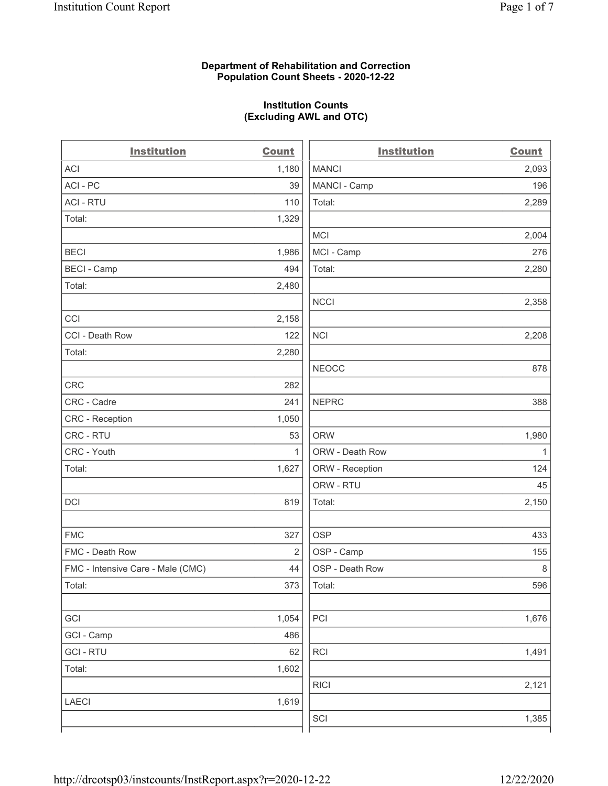#### Department of Rehabilitation and Correction Population Count Sheets - 2020-12-22

# Institution Counts (Excluding AWL and OTC)

. .

| <b>Institution</b>                | <b>Count</b> | <b>Institution</b> | <b>Count</b> |
|-----------------------------------|--------------|--------------------|--------------|
| ACI                               | 1,180        | <b>MANCI</b>       | 2,093        |
| ACI-PC                            | 39           | MANCI - Camp       | 196          |
| <b>ACI - RTU</b>                  | 110          | Total:             | 2,289        |
| Total:                            | 1,329        |                    |              |
|                                   |              | MCI                | 2,004        |
| <b>BECI</b>                       | 1,986        | MCI - Camp         | 276          |
| <b>BECI - Camp</b>                | 494          | Total:             | 2,280        |
| Total:                            | 2,480        |                    |              |
|                                   |              | <b>NCCI</b>        | 2,358        |
| CCI                               | 2,158        |                    |              |
| CCI - Death Row                   | 122          | <b>NCI</b>         | 2,208        |
| Total:                            | 2,280        |                    |              |
|                                   |              | <b>NEOCC</b>       | 878          |
| <b>CRC</b>                        | 282          |                    |              |
| CRC - Cadre                       | 241          | <b>NEPRC</b>       | 388          |
| CRC - Reception                   | 1,050        |                    |              |
| CRC - RTU                         | 53           | <b>ORW</b>         | 1,980        |
| CRC - Youth                       | 1            | ORW - Death Row    | $\mathbf{1}$ |
| Total:                            | 1,627        | ORW - Reception    | 124          |
|                                   |              | ORW - RTU          | 45           |
| DCI                               | 819          | Total:             | 2,150        |
| <b>FMC</b>                        | 327          | <b>OSP</b>         | 433          |
| FMC - Death Row                   | 2            | OSP - Camp         | 155          |
| FMC - Intensive Care - Male (CMC) | 44           | OSP - Death Row    | 8            |
| Total:                            | 373          | Total:             | 596          |
| GCI                               | 1,054        | PCI                | 1,676        |
| GCI - Camp                        | 486          |                    |              |
| <b>GCI-RTU</b>                    | 62           | RCI                | 1,491        |
| Total:                            | 1,602        |                    |              |
|                                   |              | <b>RICI</b>        | 2,121        |
| <b>LAECI</b>                      | 1,619        |                    |              |
|                                   |              | SCI                | 1,385        |
|                                   |              |                    |              |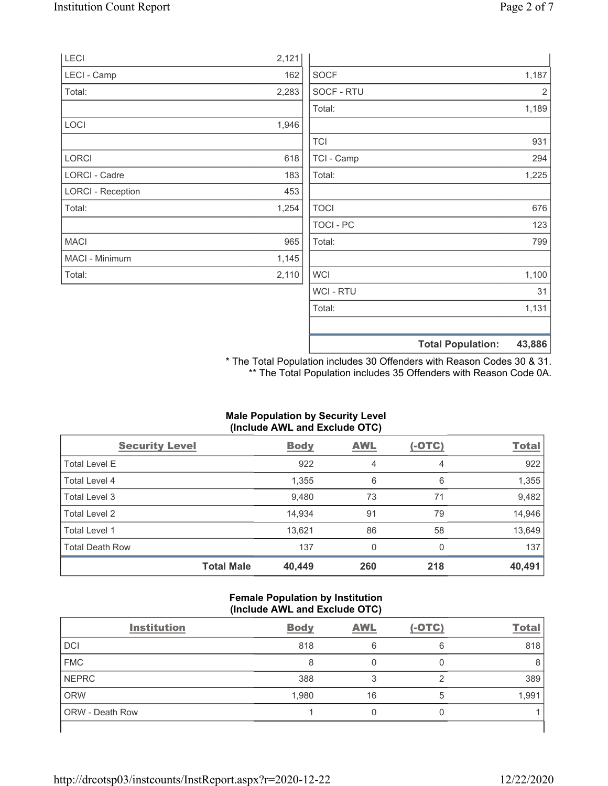|                          |       |                  | <b>Total Population:</b> | 43,886         |
|--------------------------|-------|------------------|--------------------------|----------------|
|                          |       |                  |                          |                |
|                          |       | Total:           |                          | 1,131          |
|                          |       | <b>WCI-RTU</b>   |                          | 31             |
| Total:                   | 2,110 | <b>WCI</b>       |                          | 1,100          |
| MACI - Minimum           | 1,145 |                  |                          |                |
| <b>MACI</b>              | 965   | Total:           |                          | 799            |
|                          |       | <b>TOCI - PC</b> |                          | 123            |
| Total:                   | 1,254 | <b>TOCI</b>      |                          | 676            |
| <b>LORCI - Reception</b> | 453   |                  |                          |                |
| LORCI - Cadre            | 183   | Total:           |                          | 1,225          |
| <b>LORCI</b>             | 618   | TCI - Camp       |                          | 294            |
|                          |       | <b>TCI</b>       |                          | 931            |
| LOCI                     | 1,946 |                  |                          |                |
|                          |       | Total:           |                          | 1,189          |
| Total:                   | 2,283 | SOCF - RTU       |                          | $\overline{2}$ |
| LECI - Camp              | 162   | <b>SOCF</b>      |                          | 1,187          |
| LECI                     | 2,121 |                  |                          |                |

\* The Total Population includes 30 Offenders with Reason Codes 30 & 31. \*\* The Total Population includes 35 Offenders with Reason Code 0A.

# Male Population by Security Level (Include AWL and Exclude OTC)

| <b>Security Level</b>  |                   | <b>Body</b> | <b>AWL</b>     | $(-OTC)$ | <b>Total</b> |
|------------------------|-------------------|-------------|----------------|----------|--------------|
| <b>Total Level E</b>   |                   | 922         | $\overline{4}$ | 4        | 922          |
| Total Level 4          |                   | 1,355       | 6              | 6        | 1,355        |
| Total Level 3          |                   | 9,480       | 73             | 71       | 9,482        |
| Total Level 2          |                   | 14,934      | 91             | 79       | 14,946       |
| Total Level 1          |                   | 13,621      | 86             | 58       | 13,649       |
| <b>Total Death Row</b> |                   | 137         | 0              | $\Omega$ | 137          |
|                        | <b>Total Male</b> | 40,449      | 260            | 218      | 40,491       |

#### Female Population by Institution (Include AWL and Exclude OTC)

| <b>Institution</b> | <b>Body</b> | <b>AWL</b> | $(-OTC)$ | <b>Total</b> |
|--------------------|-------------|------------|----------|--------------|
| <b>DCI</b>         | 818         | 6          | 6        | 818          |
| <b>FMC</b>         | 8           |            |          |              |
| <b>NEPRC</b>       | 388         |            | ◠        | 389          |
| <b>ORW</b>         | 1,980       | 16         | 5        | 1,991        |
| ORW - Death Row    |             |            |          |              |
|                    |             |            |          |              |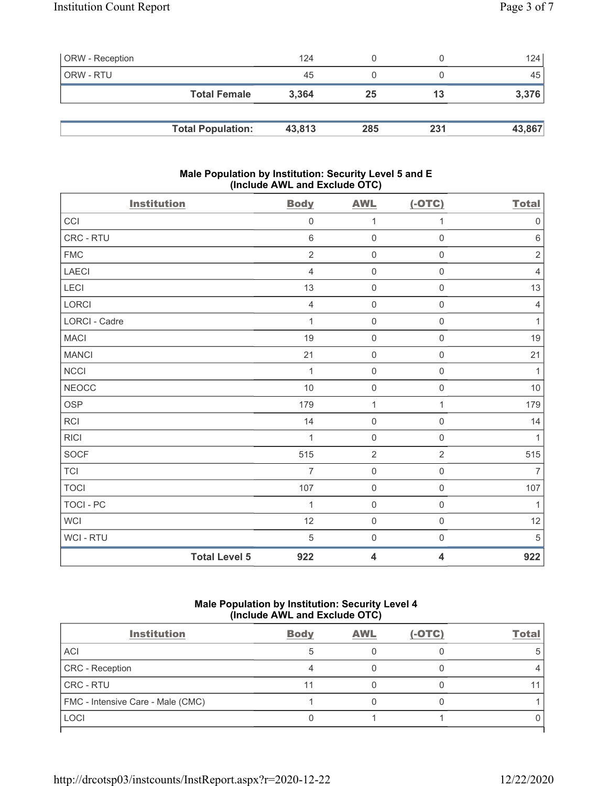| <b>ORW</b> - Reception |                          | 124    |     |     | 124    |
|------------------------|--------------------------|--------|-----|-----|--------|
| ORW - RTU              |                          | 45     |     |     | 45     |
|                        | <b>Total Female</b>      | 3,364  | 25  | 13  | 3,376  |
|                        |                          |        |     |     |        |
|                        | <b>Total Population:</b> | 43,813 | 285 | 231 | 43,867 |

# Male Population by Institution: Security Level 5 and E (Include AWL and Exclude OTC)

| <b>Institution</b>   |                      | <b>Body</b>    | <b>AWL</b>              | $(-OTC)$                | <b>Total</b>   |
|----------------------|----------------------|----------------|-------------------------|-------------------------|----------------|
| CCI                  |                      | $\mathbf 0$    | 1                       | 1                       | $\mathbf 0$    |
| CRC - RTU            |                      | $\,$ 6 $\,$    | $\mathsf{O}\xspace$     | $\mathsf 0$             | $\,6\,$        |
| <b>FMC</b>           |                      | $\overline{2}$ | $\mathsf{O}\xspace$     | $\mathsf 0$             | $\sqrt{2}$     |
| <b>LAECI</b>         |                      | $\overline{4}$ | $\boldsymbol{0}$        | $\mathsf{O}\xspace$     | $\overline{4}$ |
| LECI                 |                      | 13             | $\mathsf{O}\xspace$     | $\mathsf 0$             | 13             |
| <b>LORCI</b>         |                      | $\overline{4}$ | $\mathsf{O}\xspace$     | $\mathsf 0$             | $\sqrt{4}$     |
| <b>LORCI - Cadre</b> |                      | $\mathbf{1}$   | $\mathsf{O}\xspace$     | $\mathsf{O}\xspace$     | $\mathbf{1}$   |
| <b>MACI</b>          |                      | 19             | $\mathsf{O}\xspace$     | $\mathsf 0$             | 19             |
| <b>MANCI</b>         |                      | 21             | $\boldsymbol{0}$        | $\mathsf{O}\xspace$     | 21             |
| <b>NCCI</b>          |                      | $\mathbf{1}$   | $\mathsf{O}\xspace$     | $\mathsf{O}\xspace$     | $\mathbf{1}$   |
| <b>NEOCC</b>         |                      | 10             | $\mathsf{O}\xspace$     | $\mathsf 0$             | 10             |
| <b>OSP</b>           |                      | 179            | $\mathbf{1}$            | $\mathbf{1}$            | 179            |
| <b>RCI</b>           |                      | 14             | $\boldsymbol{0}$        | $\mathsf 0$             | 14             |
| <b>RICI</b>          |                      | 1              | $\boldsymbol{0}$        | $\mathsf 0$             | $\mathbf{1}$   |
| <b>SOCF</b>          |                      | 515            | $\sqrt{2}$              | $\sqrt{2}$              | 515            |
| <b>TCI</b>           |                      | $\overline{7}$ | $\boldsymbol{0}$        | $\mathsf{O}\xspace$     | $\overline{7}$ |
| <b>TOCI</b>          |                      | 107            | $\boldsymbol{0}$        | $\mathsf{O}\xspace$     | 107            |
| TOCI - PC            |                      | $\mathbf{1}$   | $\boldsymbol{0}$        | $\mathsf{O}\xspace$     | $\mathbf{1}$   |
| <b>WCI</b>           |                      | 12             | $\mathbf 0$             | $\mathsf{O}\xspace$     | 12             |
| WCI - RTU            |                      | $\,$ 5 $\,$    | $\mathsf{O}\xspace$     | $\mathsf{O}\xspace$     | $\sqrt{5}$     |
|                      | <b>Total Level 5</b> | 922            | $\overline{\mathbf{4}}$ | $\overline{\mathbf{4}}$ | 922            |

# Male Population by Institution: Security Level 4 (Include AWL and Exclude OTC)

| <b>Institution</b>                | <b>Body</b> | <b>AWL</b> | $(-OTC)$ | Total |
|-----------------------------------|-------------|------------|----------|-------|
| <b>ACI</b>                        |             |            |          |       |
| <b>CRC</b> - Reception            |             |            |          |       |
| <b>CRC - RTU</b>                  | 11          |            |          |       |
| FMC - Intensive Care - Male (CMC) |             |            |          |       |
| LOCI                              |             |            |          |       |
|                                   |             |            |          |       |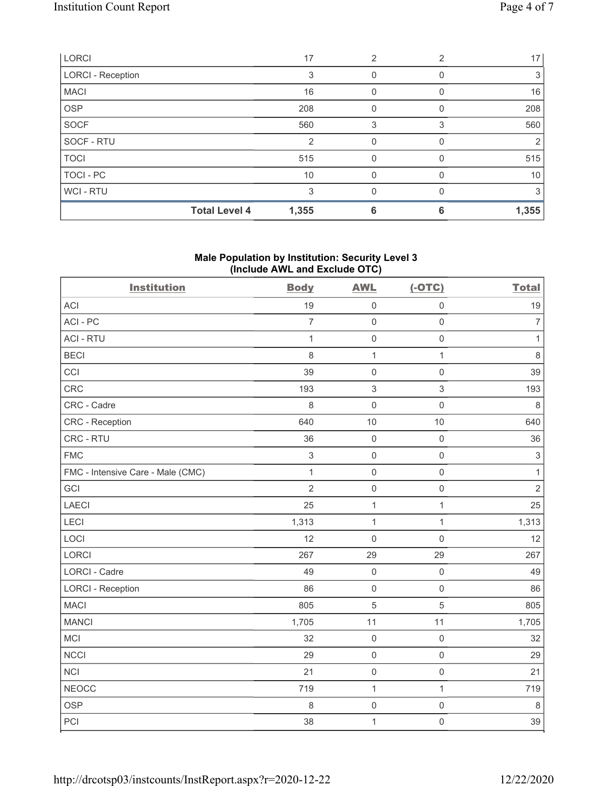| LORCI                    | 17                            | 2 | 2 | 17            |
|--------------------------|-------------------------------|---|---|---------------|
| <b>LORCI - Reception</b> | 3                             | 0 |   | 3             |
| <b>MACI</b>              | 16                            | 0 |   | 16            |
| <b>OSP</b>               | 208                           | 0 |   | 208           |
| <b>SOCF</b>              | 560                           | 3 | 3 | 560           |
| SOCF - RTU               | 2                             | 0 |   | $\mathcal{P}$ |
| <b>TOCI</b>              | 515                           | 0 |   | 515           |
| TOCI - PC                | 10                            | 0 |   | 10            |
| <b>WCI-RTU</b>           | 3                             | O |   | 3             |
|                          | <b>Total Level 4</b><br>1,355 | 6 | 6 | 1,355         |

# Male Population by Institution: Security Level 3 (Include AWL and Exclude OTC)

| <b>Institution</b>                | <b>Body</b>    | <b>AWL</b>          | $(-OTC)$            | <b>Total</b>   |
|-----------------------------------|----------------|---------------------|---------------------|----------------|
| <b>ACI</b>                        | 19             | $\mathbf 0$         | $\mathsf{O}\xspace$ | 19             |
| ACI-PC                            | $\overline{7}$ | $\mathbf 0$         | $\mathsf{O}\xspace$ | $\overline{7}$ |
| <b>ACI - RTU</b>                  | $\mathbf{1}$   | $\mathbf 0$         | $\mathsf 0$         | $\mathbf{1}$   |
| <b>BECI</b>                       | 8              | $\mathbf{1}$        | $\mathbf{1}$        | $\,8\,$        |
| CCI                               | 39             | $\mathbf 0$         | $\mathsf{O}\xspace$ | 39             |
| CRC                               | 193            | $\sqrt{3}$          | $\sqrt{3}$          | 193            |
| CRC - Cadre                       | 8              | $\mathbf 0$         | $\mathsf 0$         | $\,8\,$        |
| <b>CRC</b> - Reception            | 640            | 10                  | 10                  | 640            |
| CRC - RTU                         | 36             | $\mathbf 0$         | $\mathsf{O}\xspace$ | 36             |
| <b>FMC</b>                        | 3              | $\mathbf 0$         | $\mathsf 0$         | $\sqrt{3}$     |
| FMC - Intensive Care - Male (CMC) | $\mathbf{1}$   | $\mathbf 0$         | $\mathsf 0$         | $\mathbf{1}$   |
| GCI                               | $\overline{2}$ | $\mathbf 0$         | $\mathsf 0$         | $\overline{2}$ |
| <b>LAECI</b>                      | 25             | $\mathbf 1$         | $\mathbf{1}$        | 25             |
| LECI                              | 1,313          | $\mathbf{1}$        | $\mathbf{1}$        | 1,313          |
| LOCI                              | 12             | $\mathsf{O}\xspace$ | $\mathsf{O}\xspace$ | 12             |
| <b>LORCI</b>                      | 267            | 29                  | 29                  | 267            |
| LORCI - Cadre                     | 49             | $\mathbf 0$         | $\mathsf 0$         | 49             |
| <b>LORCI - Reception</b>          | 86             | $\mathbf 0$         | $\mathsf{O}\xspace$ | 86             |
| <b>MACI</b>                       | 805            | $\overline{5}$      | $\sqrt{5}$          | 805            |
| <b>MANCI</b>                      | 1,705          | 11                  | 11                  | 1,705          |
| MCI                               | 32             | $\mathbf 0$         | $\mathsf 0$         | 32             |
| <b>NCCI</b>                       | 29             | $\mathbf 0$         | $\mathsf{O}\xspace$ | 29             |
| <b>NCI</b>                        | 21             | $\mathbf 0$         | $\mathsf{O}\xspace$ | 21             |
| <b>NEOCC</b>                      | 719            | $\mathbf 1$         | $\mathbf{1}$        | 719            |
| OSP                               | 8              | $\mathbf 0$         | $\mathsf{O}\xspace$ | $\,8\,$        |
| PCI                               | 38             | $\mathbf{1}$        | $\mathsf 0$         | 39             |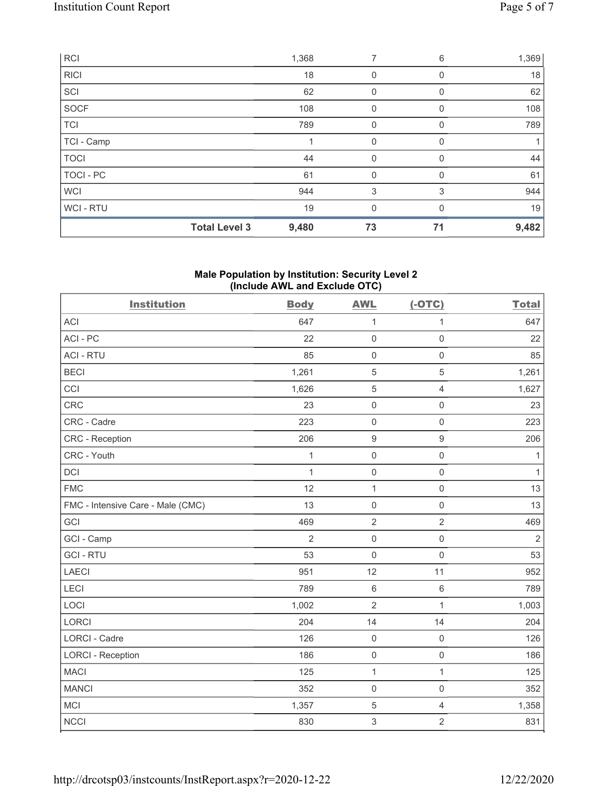|             | <b>Total Level 3</b> | 9,480 | 73          | 71       | 9,482 |
|-------------|----------------------|-------|-------------|----------|-------|
| WCI - RTU   |                      | 19    | 0           |          | 19    |
| <b>WCI</b>  |                      | 944   | 3           | 3        | 944   |
| TOCI - PC   |                      | 61    | 0           |          | 61    |
| <b>TOCI</b> |                      | 44    | 0           | $\Omega$ | 44    |
| TCI - Camp  |                      |       | $\mathbf 0$ | 0        |       |
| <b>TCI</b>  |                      | 789   | 0           |          | 789   |
| SOCF        |                      | 108   | $\mathbf 0$ | 0        | 108   |
| SCI         |                      | 62    | 0           |          | 62    |
| <b>RICI</b> |                      | 18    | 0           | 0        | 18    |
| <b>RCI</b>  |                      | 1,368 | 7           | 6        | 1,369 |

# Male Population by Institution: Security Level 2 (Include AWL and Exclude OTC)

| <b>Institution</b>                | <b>Body</b>    | <b>AWL</b>          | $(-OTC)$            | <b>Total</b>   |
|-----------------------------------|----------------|---------------------|---------------------|----------------|
| <b>ACI</b>                        | 647            | $\mathbf{1}$        | 1                   | 647            |
| ACI-PC                            | 22             | $\mathbf 0$         | $\mathsf 0$         | 22             |
| <b>ACI - RTU</b>                  | 85             | $\mathbf 0$         | $\mathsf{O}\xspace$ | 85             |
| <b>BECI</b>                       | 1,261          | $\mathbf 5$         | $\sqrt{5}$          | 1,261          |
| CCI                               | 1,626          | $\mathbf 5$         | $\overline{4}$      | 1,627          |
| <b>CRC</b>                        | 23             | $\mathsf{O}\xspace$ | $\mathsf 0$         | 23             |
| CRC - Cadre                       | 223            | $\mathbf 0$         | $\mathbf 0$         | 223            |
| CRC - Reception                   | 206            | $\boldsymbol{9}$    | $\boldsymbol{9}$    | 206            |
| CRC - Youth                       | $\mathbf{1}$   | $\mathsf{O}\xspace$ | $\mathsf 0$         | $\mathbf{1}$   |
| <b>DCI</b>                        | $\mathbf{1}$   | $\mathbf 0$         | $\mathsf{O}\xspace$ | $\mathbf{1}$   |
| <b>FMC</b>                        | 12             | $\mathbf 1$         | $\mathsf 0$         | 13             |
| FMC - Intensive Care - Male (CMC) | 13             | $\mathsf{O}\xspace$ | $\mathsf 0$         | 13             |
| GCI                               | 469            | $\sqrt{2}$          | $\sqrt{2}$          | 469            |
| GCI - Camp                        | $\overline{2}$ | $\mathbf 0$         | $\mathbf 0$         | $\overline{2}$ |
| <b>GCI-RTU</b>                    | 53             | $\mathbf 0$         | $\mathsf{O}\xspace$ | 53             |
| <b>LAECI</b>                      | 951            | 12                  | 11                  | 952            |
| LECI                              | 789            | $\,6\,$             | $\,6\,$             | 789            |
| LOCI                              | 1,002          | $\overline{2}$      | $\mathbf{1}$        | 1,003          |
| <b>LORCI</b>                      | 204            | 14                  | 14                  | 204            |
| <b>LORCI - Cadre</b>              | 126            | $\mathsf{O}\xspace$ | $\mathsf 0$         | 126            |
| <b>LORCI - Reception</b>          | 186            | $\mathbf 0$         | $\mathsf 0$         | 186            |
| <b>MACI</b>                       | 125            | $\mathbf{1}$        | $\overline{1}$      | 125            |
| <b>MANCI</b>                      | 352            | $\mathbf 0$         | $\mathsf{O}\xspace$ | 352            |
| MCI                               | 1,357          | 5                   | $\overline{4}$      | 1,358          |
| <b>NCCI</b>                       | 830            | 3                   | $\overline{2}$      | 831            |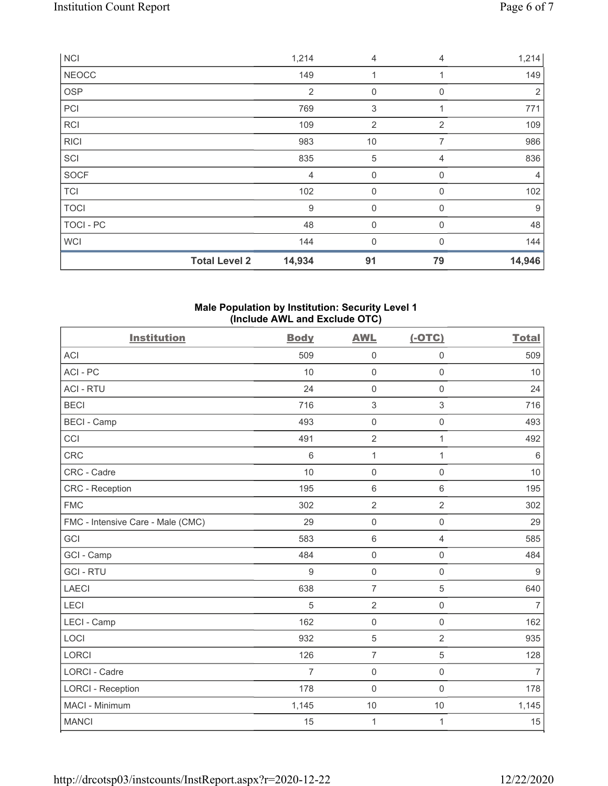|              | <b>Total Level 2</b> | 14,934         | 91             | 79           | 14,946         |
|--------------|----------------------|----------------|----------------|--------------|----------------|
| <b>WCI</b>   |                      | 144            | $\mathbf 0$    | $\Omega$     | 144            |
| TOCI - PC    |                      | 48             | $\mathbf 0$    | $\mathbf{0}$ | 48             |
| <b>TOCI</b>  |                      | 9              | $\mathbf 0$    | 0            | 9              |
| <b>TCI</b>   |                      | 102            | 0              | $\mathbf 0$  | 102            |
| <b>SOCF</b>  |                      | $\overline{4}$ | $\mathbf 0$    | $\mathbf 0$  | $\overline{4}$ |
| SCI          |                      | 835            | $\sqrt{5}$     | 4            | 836            |
| <b>RICI</b>  |                      | 983            | 10             | 7            | 986            |
| <b>RCI</b>   |                      | 109            | $\overline{2}$ | 2            | 109            |
| PCI          |                      | 769            | 3              |              | 771            |
| <b>OSP</b>   |                      | $\overline{2}$ | 0              | $\mathbf 0$  | $\overline{2}$ |
| <b>NEOCC</b> |                      | 149            | 4              |              | 149            |
| <b>NCI</b>   |                      | 1,214          | 4              | 4            | 1,214          |

#### Male Population by Institution: Security Level 1 (Include AWL and Exclude OTC)

| <b>Institution</b>                | <b>Body</b>     | <b>AWL</b>          | $(-OTC)$            | <b>Total</b>   |
|-----------------------------------|-----------------|---------------------|---------------------|----------------|
| <b>ACI</b>                        | 509             | $\mathsf{O}\xspace$ | $\mathsf 0$         | 509            |
| ACI-PC                            | 10              | $\mathsf{O}\xspace$ | $\mathsf 0$         | 10             |
| <b>ACI - RTU</b>                  | 24              | $\mathsf{O}\xspace$ | $\mathsf 0$         | 24             |
| <b>BECI</b>                       | 716             | $\sqrt{3}$          | $\sqrt{3}$          | 716            |
| <b>BECI - Camp</b>                | 493             | $\mathsf{O}\xspace$ | $\mathsf 0$         | 493            |
| CCI                               | 491             | $\overline{2}$      | $\mathbf{1}$        | 492            |
| CRC                               | $6\phantom{1}6$ | $\mathbf{1}$        | $\mathbf{1}$        | $6\,$          |
| CRC - Cadre                       | 10              | $\mathbf 0$         | $\mathbf 0$         | 10             |
| CRC - Reception                   | 195             | 6                   | $6\,$               | 195            |
| <b>FMC</b>                        | 302             | $\overline{2}$      | $\overline{2}$      | 302            |
| FMC - Intensive Care - Male (CMC) | 29              | $\mathsf{O}\xspace$ | $\mathsf{O}\xspace$ | 29             |
| GCI                               | 583             | $\,6\,$             | $\overline{4}$      | 585            |
| GCI - Camp                        | 484             | $\mathsf 0$         | $\mathbf 0$         | 484            |
| <b>GCI-RTU</b>                    | 9               | $\mathsf 0$         | $\mathsf 0$         | $9\,$          |
| <b>LAECI</b>                      | 638             | $\overline{7}$      | 5                   | 640            |
| LECI                              | 5               | $\overline{2}$      | $\mathsf 0$         | $\overline{7}$ |
| LECI - Camp                       | 162             | $\mathbf 0$         | $\mathbf 0$         | 162            |
| LOCI                              | 932             | $\sqrt{5}$          | $\overline{2}$      | 935            |
| LORCI                             | 126             | $\overline{7}$      | $\sqrt{5}$          | 128            |
| <b>LORCI - Cadre</b>              | $\overline{7}$  | $\mathsf{O}\xspace$ | $\mathsf 0$         | $\overline{7}$ |
| <b>LORCI - Reception</b>          | 178             | $\mathbf 0$         | $\mathbf 0$         | 178            |
| MACI - Minimum                    | 1,145           | 10                  | 10                  | 1,145          |
| <b>MANCI</b>                      | 15              | $\mathbf{1}$        | $\mathbf{1}$        | 15             |